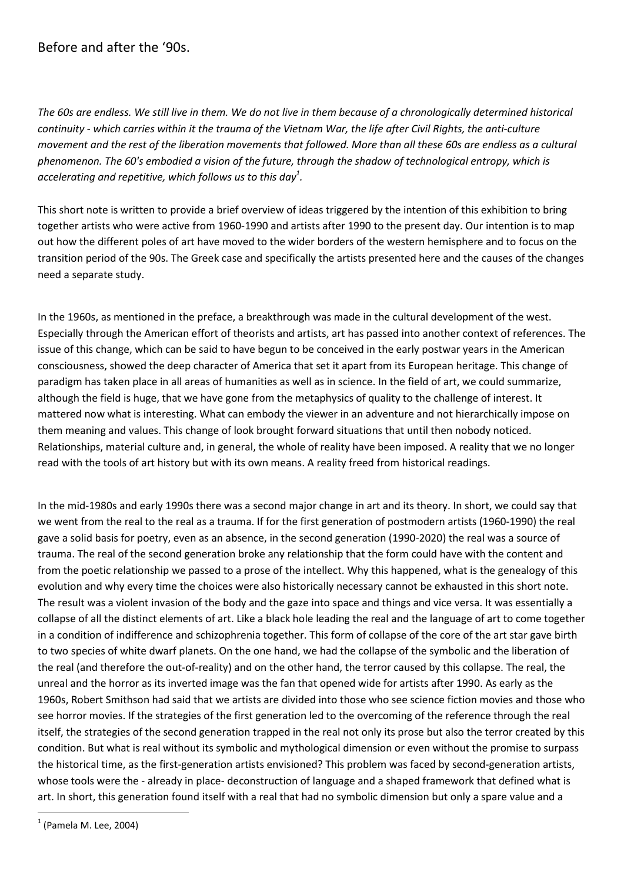## Before and after the '90s.

The 60s are endless. We still live in them. We do not live in them because of a chronologically determined historical continuity - which carries within it the trauma of the Vietnam War, the life after Civil Rights, the anti-culture movement and the rest of the liberation movements that followed. More than all these 60s are endless as a cultural phenomenon. The 60's embodied a vision of the future, through the shadow of technological entropy, which is accelerating and repetitive, which follows us to this day $^1$ .

This short note is written to provide a brief overview of ideas triggered by the intention of this exhibition to bring together artists who were active from 1960-1990 and artists after 1990 to the present day. Our intention is to map out how the different poles of art have moved to the wider borders of the western hemisphere and to focus on the transition period of the 90s. The Greek case and specifically the artists presented here and the causes of the changes need a separate study.

In the 1960s, as mentioned in the preface, a breakthrough was made in the cultural development of the west. Especially through the American effort of theorists and artists, art has passed into another context of references. The issue of this change, which can be said to have begun to be conceived in the early postwar years in the American consciousness, showed the deep character of America that set it apart from its European heritage. This change of paradigm has taken place in all areas of humanities as well as in science. In the field of art, we could summarize, although the field is huge, that we have gone from the metaphysics of quality to the challenge of interest. It mattered now what is interesting. What can embody the viewer in an adventure and not hierarchically impose on them meaning and values. This change of look brought forward situations that until then nobody noticed. Relationships, material culture and, in general, the whole of reality have been imposed. A reality that we no longer read with the tools of art history but with its own means. A reality freed from historical readings.

In the mid-1980s and early 1990s there was a second major change in art and its theory. In short, we could say that we went from the real to the real as a trauma. If for the first generation of postmodern artists (1960-1990) the real gave a solid basis for poetry, even as an absence, in the second generation (1990-2020) the real was a source of trauma. The real of the second generation broke any relationship that the form could have with the content and from the poetic relationship we passed to a prose of the intellect. Why this happened, what is the genealogy of this evolution and why every time the choices were also historically necessary cannot be exhausted in this short note. The result was a violent invasion of the body and the gaze into space and things and vice versa. It was essentially a collapse of all the distinct elements of art. Like a black hole leading the real and the language of art to come together in a condition of indifference and schizophrenia together. This form of collapse of the core of the art star gave birth to two species of white dwarf planets. On the one hand, we had the collapse of the symbolic and the liberation of the real (and therefore the out-of-reality) and on the other hand, the terror caused by this collapse. The real, the unreal and the horror as its inverted image was the fan that opened wide for artists after 1990. As early as the 1960s, Robert Smithson had said that we artists are divided into those who see science fiction movies and those who see horror movies. If the strategies of the first generation led to the overcoming of the reference through the real itself, the strategies of the second generation trapped in the real not only its prose but also the terror created by this condition. But what is real without its symbolic and mythological dimension or even without the promise to surpass the historical time, as the first-generation artists envisioned? This problem was faced by second-generation artists, whose tools were the - already in place- deconstruction of language and a shaped framework that defined what is art. In short, this generation found itself with a real that had no symbolic dimension but only a spare value and a

<sup>-</sup>1 (Pamela M. Lee, 2004)